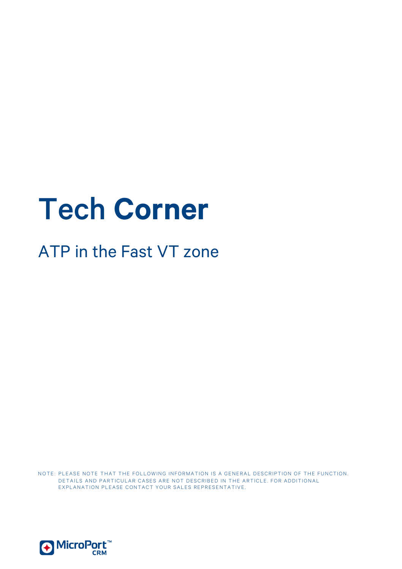# Tech **Corner**

# ATP in the Fast VT zone

NOTE: PLEASE NOTE THAT THE FOLLOWING INFORMATION IS A GENERAL DESCRIPTION OF THE FUNCTION. DETAILS AND PARTICULAR CASES ARE NOT DESCRIBED IN THE ARTICLE. FOR ADDITIONAL EXPLANATION PLEASE CONTACT YOUR SALES REPRESENTATIVE.

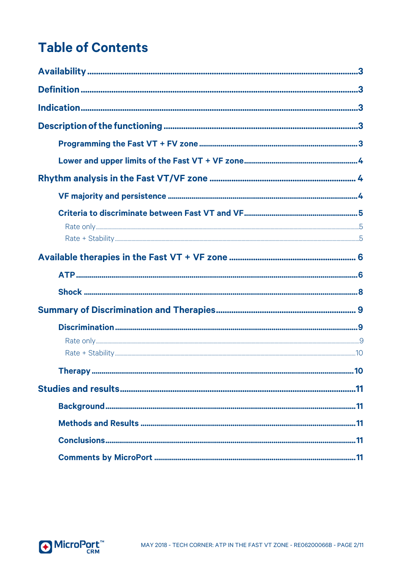# **Table of Contents**

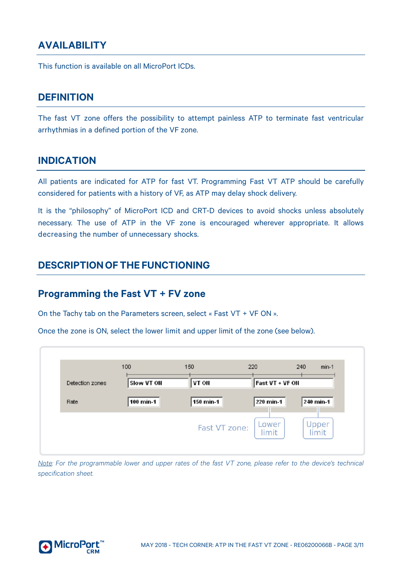# <span id="page-2-0"></span>**AVAILABILITY**

<span id="page-2-1"></span>This function is available on all MicroPort ICDs.

#### **DEFINITION**

The fast VT zone offers the possibility to attempt painless ATP to terminate fast ventricular arrhythmias in a defined portion of the VF zone.

#### <span id="page-2-2"></span>**INDICATION**

All patients are indicated for ATP for fast VT. Programming Fast VT ATP should be carefully considered for patients with a history of VF, as ATP may delay shock delivery.

It is the "philosophy" of MicroPort ICD and CRT-D devices to avoid shocks unless absolutely necessary. The use of ATP in the VF zone is encouraged wherever appropriate. It allows decreasing the number of unnecessary shocks.

### <span id="page-2-3"></span>**DESCRIPTIONOFTHE FUNCTIONING**

#### <span id="page-2-4"></span>**Programming the Fast VT + FV zone**

On the Tachy tab on the Parameters screen, select « Fast VT + VF ON ».

Once the zone is ON, select the lower limit and upper limit of the zone (see below).



Note: For the programmable lower and upper rates of the fast VT zone, please refer to the device's technical *specification sheet.*

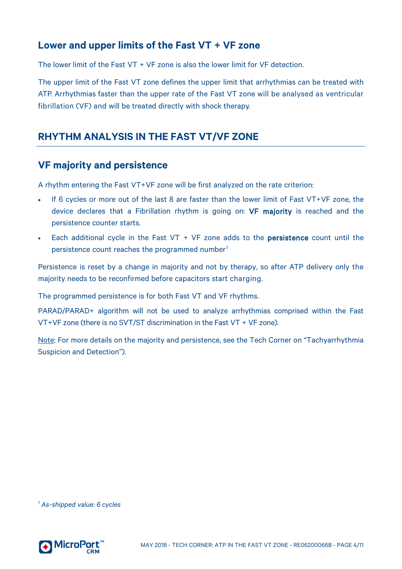#### <span id="page-3-0"></span>**Lower and upper limits of the Fast VT + VF zone**

The lower limit of the Fast VT + VF zone is also the lower limit for VF detection.

The upper limit of the Fast VT zone defines the upper limit that arrhythmias can be treated with ATP. Arrhythmias faster than the upper rate of the Fast VT zone will be analysed as ventricular fibrillation (VF) and will be treated directly with shock therapy.

#### <span id="page-3-1"></span>**RHYTHM ANALYSIS IN THE FAST VT/VF ZONE**

#### <span id="page-3-2"></span>**VF majority and persistence**

A rhythm entering the Fast VT+VF zone will be first analyzed on the rate criterion:

- If 6 cycles or more out of the last 8 are faster than the lower limit of Fast VT+VF zone, the device declares that a Fibrillation rhythm is going on: **VF majority** is reached and the persistence counter starts.
- Each additional cycle in the Fast VT + VF zone adds to the **persistence** count until the persistence count reaches the programmed number<sup>[1](#page-3-3)</sup>

Persistence is reset by a change in majority and not by therapy, so after ATP delivery only the majority needs to be reconfirmed before capacitors start charging.

The programmed persistence is for both Fast VT and VF rhythms.

PARAD/PARAD+ algorithm will not be used to analyze arrhythmias comprised within the Fast VT+VF zone (there is no SVT/ST discrimination in the Fast VT + VF zone).

Note: For more details on the majority and persistence, see the Tech Corner on "Tachyarrhythmia Suspicion and Detection").

<span id="page-3-3"></span>*<sup>1</sup> As-shipped value: 6 cycles*

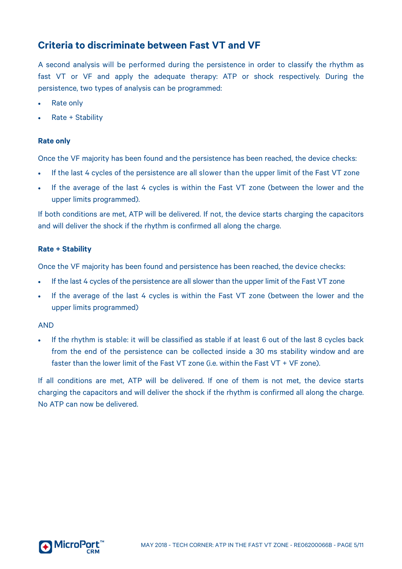#### <span id="page-4-0"></span>**Criteria to discriminate between Fast VT and VF**

A second analysis will be performed during the persistence in order to classify the rhythm as fast VT or VF and apply the adequate therapy: ATP or shock respectively. During the persistence, two types of analysis can be programmed:

- Rate only
- Rate + Stability

#### <span id="page-4-1"></span>**Rate only**

Once the VF majority has been found and the persistence has been reached, the device checks:

- If the last 4 cycles of the persistence are all slower than the upper limit of the Fast VT zone
- If the average of the last 4 cycles is within the Fast VT zone (between the lower and the upper limits programmed).

If both conditions are met, ATP will be delivered. If not, the device starts charging the capacitors and will deliver the shock if the rhythm is confirmed all along the charge.

#### <span id="page-4-2"></span>**Rate + Stability**

Once the VF majority has been found and persistence has been reached, the device checks:

- If the last 4 cycles of the persistence are all slower than the upper limit of the Fast VT zone
- If the average of the last 4 cycles is within the Fast VT zone (between the lower and the upper limits programmed)

#### AND

• If the rhythm is stable: it will be classified as stable if at least 6 out of the last 8 cycles back from the end of the persistence can be collected inside a 30 ms stability window and are faster than the lower limit of the Fast VT zone (i.e. within the Fast VT + VF zone).

If all conditions are met, ATP will be delivered. If one of them is not met, the device starts charging the capacitors and will deliver the shock if the rhythm is confirmed all along the charge. No ATP can now be delivered.

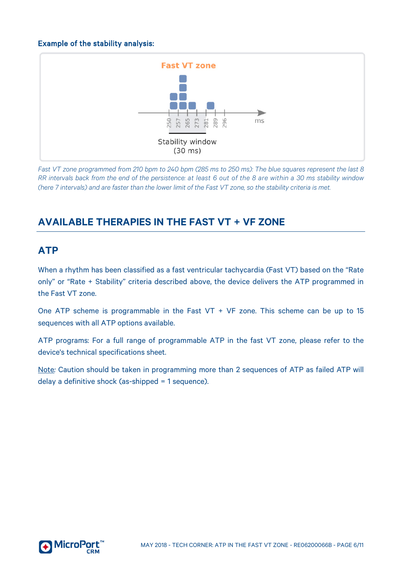#### Example of the stability analysis:



*Fast VT zone programmed from 210 bpm to 240 bpm (285 ms to 250 ms): The blue squares represent the last 8 RR intervals back from the end of the persistence: at least 6 out of the 8 are within a 30 ms stability window (here 7 intervals) and are faster than the lower limit of the Fast VT zone, so the stability criteria is met.*

# <span id="page-5-0"></span>**AVAILABLE THERAPIES IN THE FAST VT + VF ZONE**

### <span id="page-5-1"></span>**ATP**

When a rhythm has been classified as a fast ventricular tachycardia (Fast VT) based on the "Rate only" or "Rate + Stability" criteria described above, the device delivers the ATP programmed in the Fast VT zone.

One ATP scheme is programmable in the Fast VT + VF zone. This scheme can be up to 15 sequences with all ATP options available.

ATP programs: For a full range of programmable ATP in the fast VT zone, please refer to the device's technical specifications sheet.

Note*:* Caution should be taken in programming more than 2 sequences of ATP as failed ATP will delay a definitive shock (as-shipped = 1 sequence).

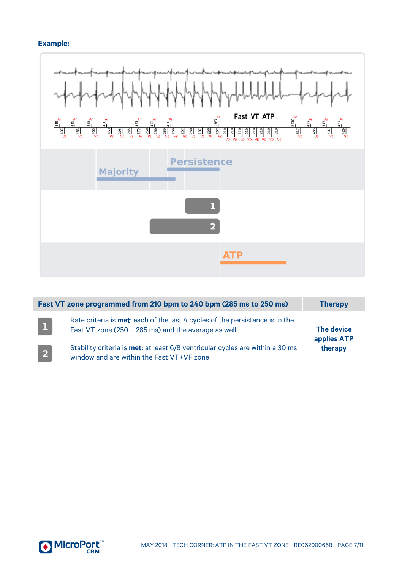#### **Example:**



| Fast VT zone programmed from 210 bpm to 240 bpm (285 ms to 250 ms) | <b>Therapy</b>                                                                                                                              |                                             |  |
|--------------------------------------------------------------------|---------------------------------------------------------------------------------------------------------------------------------------------|---------------------------------------------|--|
| $\mathbf{1}$                                                       | Rate criteria is <b>met</b> : each of the last 4 cycles of the persistence is in the<br>Fast VT zone (250 - 285 ms) and the average as well | <b>The device</b><br>applies ATP<br>therapy |  |
| $\vert 2 \vert$                                                    | Stability criteria is <b>met:</b> at least 6/8 ventricular cycles are within a 30 ms<br>window and are within the Fast VT+VF zone           |                                             |  |

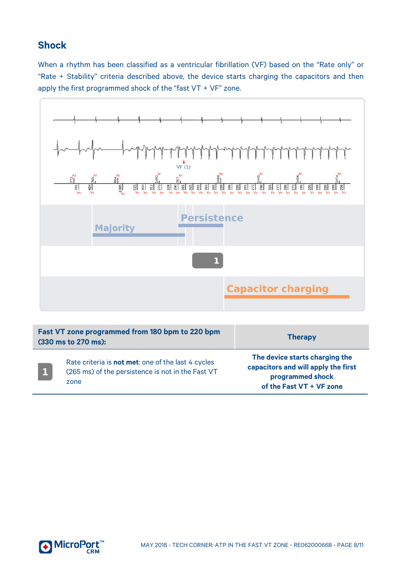# <span id="page-7-0"></span>**Shock**

When a rhythm has been classified as a ventricular fibrillation (VF) based on the "Rate only" or "Rate + Stability" criteria described above, the device starts charging the capacitors and then apply the first programmed shock of the "fast VT + VF" zone.



| Fast VT zone programmed from 180 bpm to 220 bpm<br>(330 ms to 270 ms): |                                                                                                                         | <b>Therapy</b>                                                                                                        |  |
|------------------------------------------------------------------------|-------------------------------------------------------------------------------------------------------------------------|-----------------------------------------------------------------------------------------------------------------------|--|
|                                                                        | Rate criteria is <b>not met</b> : one of the last 4 cycles<br>(265 ms) of the persistence is not in the Fast VT<br>zone | The device starts charging the<br>capacitors and will apply the first<br>programmed shock<br>of the Fast VT + VF zone |  |

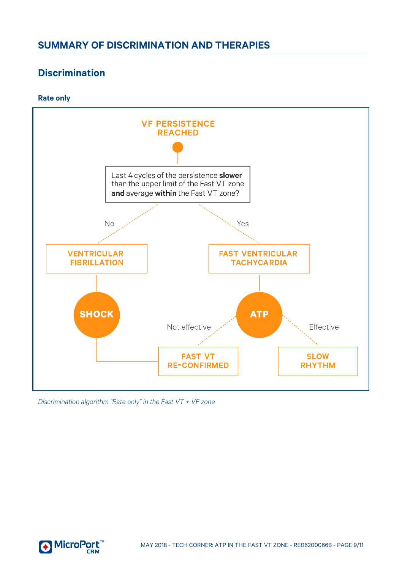# <span id="page-8-0"></span>**SUMMARY OF DISCRIMINATION AND THERAPIES**

# <span id="page-8-1"></span>**Discrimination**

#### <span id="page-8-2"></span>**Rate only**



*Discrimination algorithm "Rate only" in the Fast VT + VF zone*

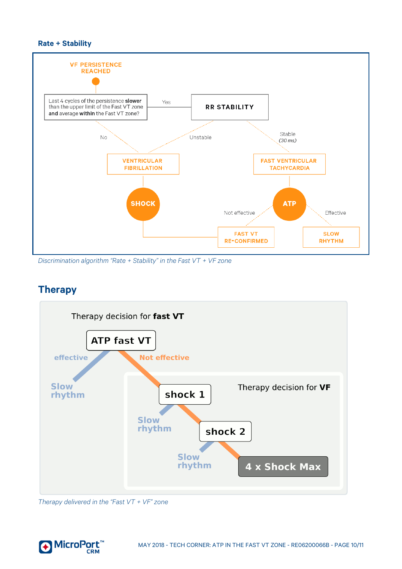#### <span id="page-9-0"></span>**Rate + Stability**



*Discrimination algorithm "Rate + Stability" in the Fast VT + VF zone*

#### <span id="page-9-1"></span>**Therapy**



*Therapy delivered in the "Fast VT + VF" zone*